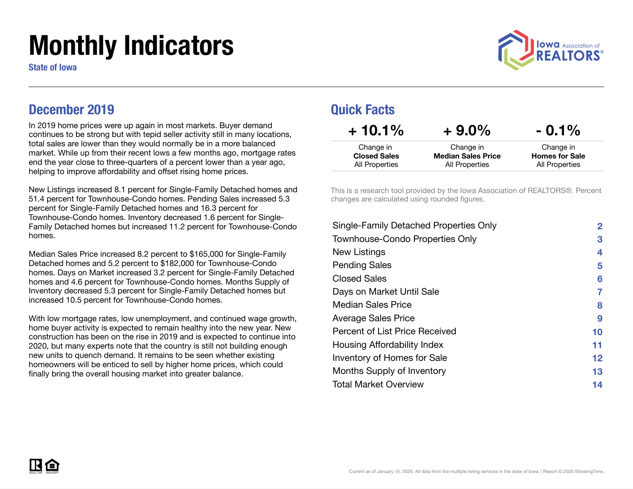# Monthly Indicators

State of Iowa



### December 2019

In 2019 home prices were up again in most markets. Buyer demand continues to be strong but with tepid seller activity still in many locations, total sales are lower than they would normally be in a more balanced market. While up from their recent lows a few months ago, mortgage rates end the year close to three-quarters of a percent lower than a year ago, helping to improve affordability and offset rising home prices.

New Listings increased 8.1 percent for Single-Family Detached homes and 51.4 percent for Townhouse-Condo homes. Pending Sales increased 5.3 percent for Single-Family Detached homes and 16.3 percent for Townhouse-Condo homes. Inventory decreased 1.6 percent for Single-Family Detached homes but increased 11.2 percent for Townhouse-Condo homes.

Median Sales Price increased 8.2 percent to \$165,000 for Single-Family Detached homes and 5.2 percent to \$182,000 for Townhouse-Condo homes. Days on Market increased 3.2 percent for Single-Family Detached homes and 4.6 percent for Townhouse-Condo homes. Months Supply of Inventory decreased 5.3 percent for Single-Family Detached homes but increased 10.5 percent for Townhouse-Condo homes.

With low mortgage rates, low unemployment, and continued wage growth, home buyer activity is expected to remain healthy into the new year. New construction has been on the rise in 2019 and is expected to continue into 2020, but many experts note that the country is still not building enough new units to quench demand. It remains to be seen whether existing homeowners will be enticed to sell by higher home prices, which could finally bring the overall housing market into greater balance.

### Quick Facts

| $+10.1\%$                        | $+9.0\%$                               | $-0.1\%$                           |
|----------------------------------|----------------------------------------|------------------------------------|
| Change in<br><b>Closed Sales</b> | Change in<br><b>Median Sales Price</b> | Change in<br><b>Homes for Sale</b> |
| All Properties                   | All Properties                         | All Properties                     |

This is a research tool provided by the Iowa Association of REALTORS®. Percent changes are calculated using rounded figures.

| $\mathbf{2}$ |
|--------------|
| 3            |
| 4            |
| 5            |
| 6            |
| 7            |
| 8            |
| 9            |
| 10           |
| 11           |
| 12           |
| 13           |
| 14           |
|              |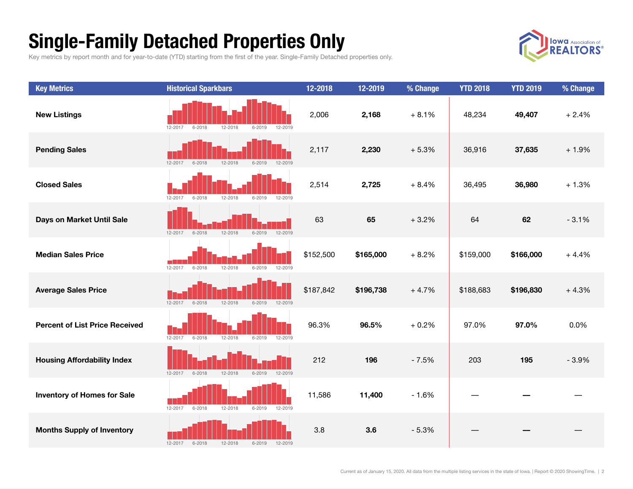## Single-Family Detached Properties Only

Key metrics by report month and for year-to-date (YTD) starting from the first of the year. Single-Family Detached properties only.



| <b>Key Metrics</b>                    | <b>Historical Sparkbars</b>                                   | 12-2018   | 12-2019   | % Change | <b>YTD 2018</b> | <b>YTD 2019</b> | % Change |
|---------------------------------------|---------------------------------------------------------------|-----------|-----------|----------|-----------------|-----------------|----------|
| <b>New Listings</b>                   | 12-2018<br>$6 - 2019$<br>$6 - 2018$<br>12-2019<br>12-2017     | 2,006     | 2,168     | $+8.1%$  | 48,234          | 49,407          | $+2.4%$  |
| <b>Pending Sales</b>                  | 12-2017<br>$6 - 2018$<br>12-2018<br>$6 - 2019$<br>12-2019     | 2,117     | 2,230     | $+5.3%$  | 36,916          | 37,635          | $+1.9%$  |
| <b>Closed Sales</b>                   | 12-2017<br>$6 - 2018$<br>12-2018<br>$6 - 2019$<br>12-2019     | 2,514     | 2,725     | $+8.4%$  | 36,495          | 36,980          | $+1.3%$  |
| Days on Market Until Sale             | $6 - 2018$<br>12-2018<br>12-2019<br>$12 - 2017$<br>$6 - 2019$ | 63        | 65        | $+3.2%$  | 64              | 62              | $-3.1%$  |
| <b>Median Sales Price</b>             | $6 - 2019$<br>12-2017<br>$6 - 2018$<br>12-2018<br>12-2019     | \$152,500 | \$165,000 | $+8.2%$  | \$159,000       | \$166,000       | $+4.4%$  |
| <b>Average Sales Price</b>            | $12 - 2017$<br>$6 - 2018$<br>12-2018<br>$6 - 2019$<br>12-2019 | \$187,842 | \$196,738 | $+4.7%$  | \$188,683       | \$196,830       | $+4.3%$  |
| <b>Percent of List Price Received</b> | $12 - 2017$<br>$6 - 2018$<br>12-2018<br>$6 - 2019$<br>12-2019 | 96.3%     | 96.5%     | $+0.2%$  | 97.0%           | 97.0%           | 0.0%     |
| <b>Housing Affordability Index</b>    | 12-2018<br>12-2019<br>$12 - 2017$<br>$6 - 2018$<br>$6 - 2019$ | 212       | 196       | $-7.5%$  | 203             | 195             | $-3.9%$  |
| <b>Inventory of Homes for Sale</b>    | $12 - 2017$<br>$6 - 2018$<br>12-2018<br>$6 - 2019$<br>12-2019 | 11,586    | 11,400    | $-1.6%$  |                 |                 |          |
| <b>Months Supply of Inventory</b>     | $6 - 2018$<br>12-2018<br>12-2017<br>$6 - 2019$<br>12-2019     | 3.8       | 3.6       | $-5.3%$  |                 |                 |          |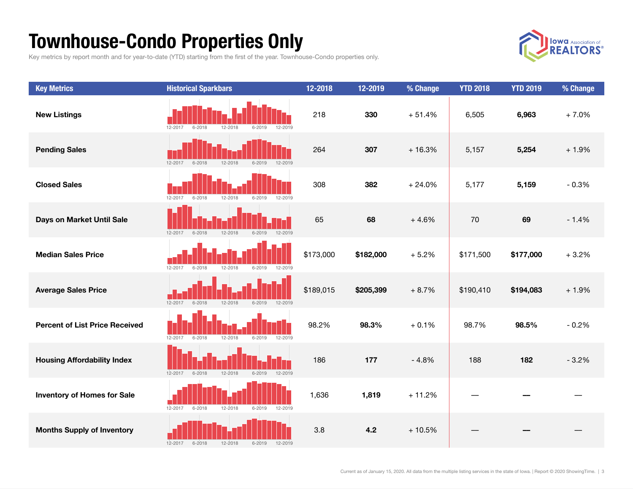## Townhouse-Condo Properties Only

Key metrics by report month and for year-to-date (YTD) starting from the first of the year. Townhouse-Condo properties only.



| <b>Key Metrics</b>                    | <b>Historical Sparkbars</b>                                   | 12-2018   | 12-2019   | % Change | <b>YTD 2018</b> | <b>YTD 2019</b> | % Change |
|---------------------------------------|---------------------------------------------------------------|-----------|-----------|----------|-----------------|-----------------|----------|
| <b>New Listings</b>                   | $6 - 2018$<br>12-2018<br>$6 - 2019$<br>12-2017<br>12-2019     | 218       | 330       | $+51.4%$ | 6,505           | 6,963           | $+7.0%$  |
| <b>Pending Sales</b>                  | $12 - 2017$<br>$6 - 2018$<br>12-2018<br>$6 - 2019$<br>12-2019 | 264       | 307       | $+16.3%$ | 5,157           | 5,254           | $+1.9%$  |
| <b>Closed Sales</b>                   | $6 - 2019$<br>12-2017<br>12-2018<br>12-2019<br>$6 - 2018$     | 308       | 382       | $+24.0%$ | 5,177           | 5,159           | $-0.3%$  |
| Days on Market Until Sale             | 12-2017<br>$6 - 2018$<br>12-2018<br>$6 - 2019$<br>12-2019     | 65        | 68        | $+4.6%$  | 70              | 69              | $-1.4%$  |
| <b>Median Sales Price</b>             | $6 - 2018$<br>12-2018<br>$6 - 2019$<br>$12 - 2017$<br>12-2019 | \$173,000 | \$182,000 | $+5.2%$  | \$171,500       | \$177,000       | $+3.2%$  |
| <b>Average Sales Price</b>            | $6 - 2018$<br>12-2018<br>$6 - 2019$<br>12-2019<br>12-2017     | \$189,015 | \$205,399 | $+8.7%$  | \$190,410       | \$194,083       | $+1.9%$  |
| <b>Percent of List Price Received</b> | $6 - 2018$<br>12-2018<br>$6 - 2019$<br>12-2019<br>12-2017     | 98.2%     | 98.3%     | $+0.1%$  | 98.7%           | 98.5%           | $-0.2%$  |
| <b>Housing Affordability Index</b>    | $6 - 2018$<br>12-2018<br>12-2019<br>12-2017<br>$6 - 2019$     | 186       | 177       | $-4.8%$  | 188             | 182             | $-3.2%$  |
| <b>Inventory of Homes for Sale</b>    | 12-2018<br>12-2017<br>$6 - 2018$<br>$6 - 2019$<br>12-2019     | 1,636     | 1,819     | $+11.2%$ |                 |                 |          |
| <b>Months Supply of Inventory</b>     | $12 - 2017$<br>$6 - 2018$<br>12-2018<br>$6 - 2019$<br>12-2019 | 3.8       | 4.2       | $+10.5%$ |                 |                 |          |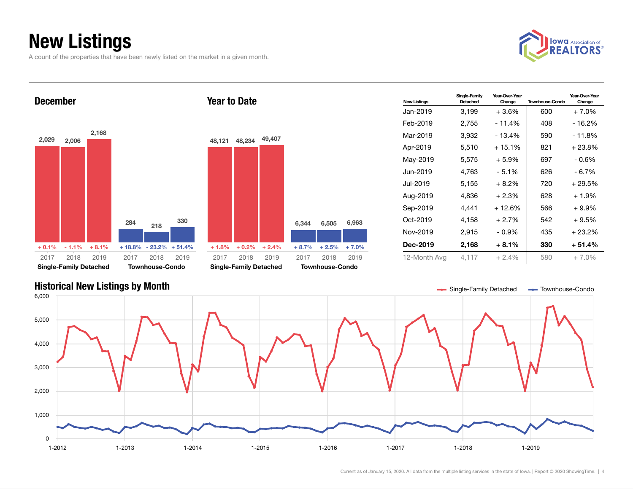## New Listings

A count of the properties that have been newly listed on the market in a given month.

Townhouse-Condo

2018 2019

2017

Single-Family Detached

2018 2019 2017



Year-Over-Year Change

New Listings Single-Family Detached Year-Over-Year Townhouse-Condo  $Jan-2019$  3,199  $+3.6\%$  600  $+7.0\%$ Feb-2019 2,755 - 11.4% 408 - 16.2% Mar-2019 3,932 - 13.4% 590 - 11.8% Apr-2019 5,510 + 15.1% 821 + 23.8% May-2019 5,575 + 5.9% 697 - 0.6% Jun-2019 4,763 - 5.1% 626 - 6.7% Jul-2019  $5,155 + 8.2\%$  720  $+ 29.5\%$ Aug-2019  $4,836 + 2.3\%$  628 + 1.9% Sep-2019  $4,441$   $+12.6\%$  566  $+9.9\%$ Oct-2019 4,158  $+2.7\%$  542  $+9.5\%$ Nov-2019 2,915 - 0.9% 435 + 23.2% Dec-2019 2,168 + 8.1% 330 + 51.4% December 2,029 2,006 2,168  $+ 0.1\% + 1.1\% + 8.1\%$ 284 218 330 + 18.8% - 23.2% + 51.4% Year to Date 48,121 48,234 49,407  $+ 1.8\% + 0.2\% + 2.4\%$ 6,344 6,505 6,963 + 8.7% + 2.5% + 7.0%

12-Month Avg  $4,117 + 2.4\%$  580  $+ 7.0\%$ 



Townhouse-Condo

2018 2019

2018 2019 2017

2017

Single-Family Detached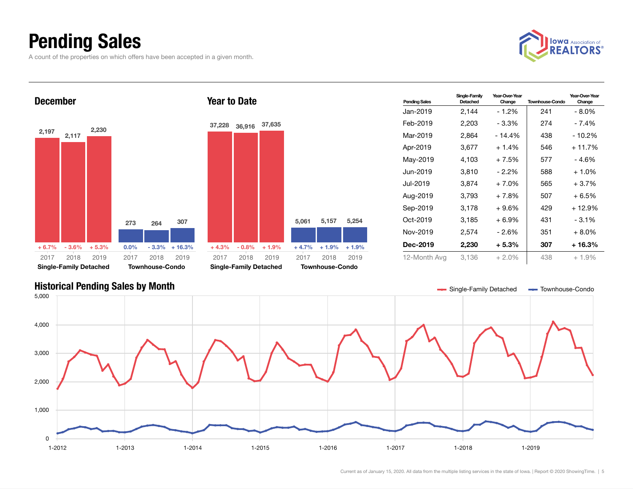## Pending Sales

A count of the properties on which offers have been accepted in a given month.





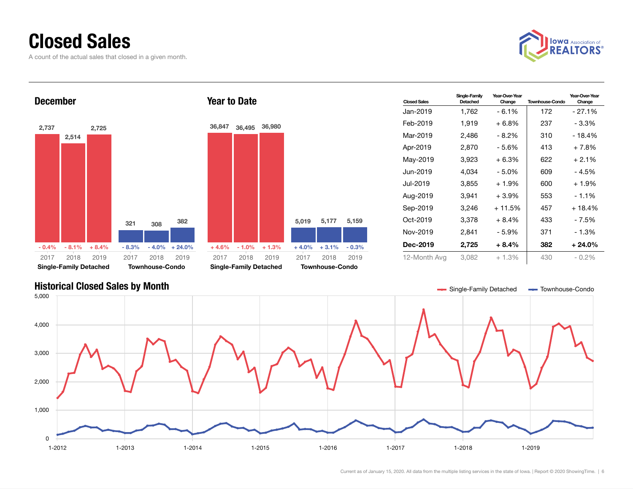### Closed Sales

A count of the actual sales that closed in a given month.



Year-Over-Year Change

### **Closed Sales** Single-Family Detached Year-Over-Year<br>Change Townhouse-Condo Jan-2019 1,762 - 6.1% 172 - 27.1% Feb-2019 1,919 + 6.8% 237 - 3.3% Mar-2019 2,486 - 8.2% 310 - 18.4% Apr-2019 2,870 - 5.6% 413 + 7.8% May-2019  $3,923 + 6.3\%$  622 + 2.1% Jun-2019 4,034 - 5.0% 609 - 4.5% Jul-2019  $3,855 + 1.9\%$  600  $+ 1.9\%$ Aug-2019 3,941 + 3.9% 553 - 1.1% Sep-2019 3,246 + 11.5% 457 + 18.4% Oct-2019 3,378 + 8.4% 433 - 7.5% Nov-2019 2,841 - 5.9% 371 - 1.3% Dec-2019 2,725 + 8.4% 382 + 24.0% 12-Month Avg 3,082 + 1.3% 430 - 0.2% December 2,737 2,514 2,725  $-0.4\% - 8.1\% + 8.4\%$ 321 308 382  $-8.3\% - 4.0\% + 24.0\%$ 2017 Single-Family Detached 2018 2019 2017 Townhouse-Condo 2018 2019 Year to Date 36,847 36,495 36,980  $+4.6\%$  - 1.0% + 1.3% 5,019 5,177 5,159  $+4.0\%$   $+3.1\%$   $-0.3\%$ 2017 Single-Family Detached 2018 2019 2017 Townhouse-Condo 2018 2019

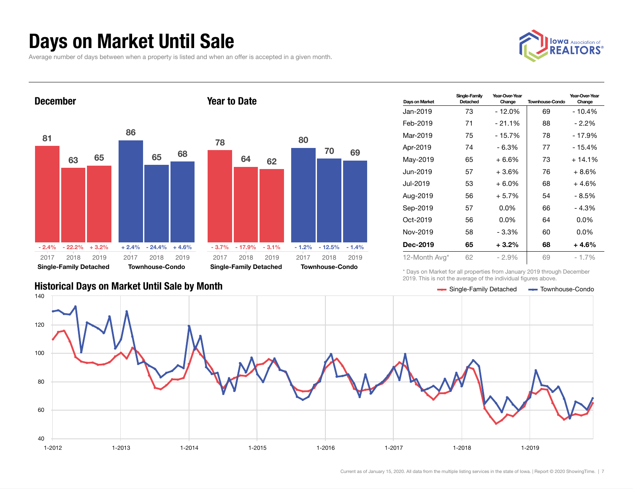### Days on Market Until Sale

Average number of days between when a property is listed and when an offer is accepted in a given month.





| Days on Market | Single-Family<br>Detached | Year-Over-Year<br>Change | <b>Townhouse-Condo</b> | Year-Over-Year<br>Change |
|----------------|---------------------------|--------------------------|------------------------|--------------------------|
| Jan-2019       | 73                        | $-12.0%$                 | 69                     | $-10.4%$                 |
| Feb-2019       | 71                        | $-21.1%$                 | 88                     | $-2.2\%$                 |
| Mar-2019       | 75                        | $-15.7%$                 | 78                     | $-17.9%$                 |
| Apr-2019       | 74                        | - 6.3%                   | 77                     | - 15.4%                  |
| May-2019       | 65                        | $+6.6%$                  | 73                     | $+14.1%$                 |
| Jun-2019       | 57                        | $+3.6%$                  | 76                     | $+8.6%$                  |
| Jul-2019       | 53                        | $+6.0\%$                 | 68                     | $+4.6%$                  |
| Aug-2019       | 56                        | $+5.7%$                  | 54                     | - 8.5%                   |
| Sep-2019       | 57                        | $0.0\%$                  | 66                     | $-4.3%$                  |
| Oct-2019       | 56                        | $0.0\%$                  | 64                     | $0.0\%$                  |
| Nov-2019       | 58                        | - 3.3%                   | 60                     | $0.0\%$                  |
| Dec-2019       | 65                        | $+3.2\%$                 | 68                     | $+4.6%$                  |
| 12-Month Avg*  | 62                        | $-2.9%$                  | 69                     | $-1.7\%$                 |

\* Days on Market for all properties from January 2019 through December 2019. This is not the average of the individual figures above.



### Historical Days on Market Until Sale by Month School School School Charles and Single-Family Detached Townhouse-Condo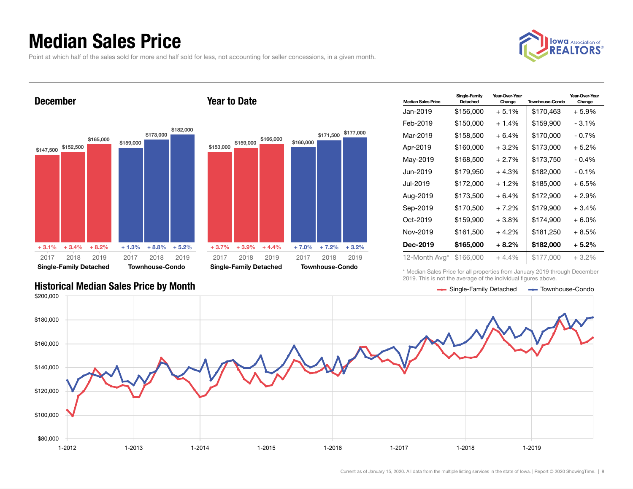### Median Sales Price

Point at which half of the sales sold for more and half sold for less, not accounting for seller concessions, in a given month.



### December







| <b>Median Sales Price</b> | Single-Family<br>Detached | Year-Over-Year<br>Change | <b>Townhouse-Condo</b> | Year-Over-Year<br>Change |
|---------------------------|---------------------------|--------------------------|------------------------|--------------------------|
| Jan-2019                  | \$156,000                 | $+5.1%$                  | \$170,463              | $+5.9%$                  |
| Feb-2019                  | \$150,000                 | $+1.4%$                  | \$159,900              | $-3.1\%$                 |
| Mar-2019                  | \$158,500                 | $+6.4%$                  | \$170,000              | $-0.7\%$                 |
| Apr-2019                  | \$160,000                 | $+3.2%$                  | \$173,000              | $+5.2%$                  |
| May-2019                  | \$168,500                 | $+2.7%$                  | \$173,750              | $-0.4%$                  |
| Jun-2019.                 | \$179,950                 | $+4.3%$                  | \$182,000              | $-0.1%$                  |
| Jul-2019.                 | \$172,000                 | $+1.2\%$                 | \$185,000              | + 6.5%                   |
| Aug-2019                  | \$173,500                 | $+6.4%$                  | \$172,900              | $+2.9%$                  |
| Sep-2019                  | \$170,500                 | $+7.2\%$                 | \$179,900              | $+3.4%$                  |
| Oct-2019                  | \$159,900                 | $+3.8\%$                 | \$174,900              | + 6.0%                   |
| Nov-2019                  | \$161,500                 | $+4.2%$                  | \$181,250              | + 8.5%                   |
| Dec-2019                  | \$165,000                 | $+8.2\%$                 | \$182,000              | $+5.2\%$                 |
| 12-Month Avg*             | \$166,000                 | $+4.4%$                  | \$177,000              | $+3.2\%$                 |

\* Median Sales Price for all properties from January 2019 through December 2019. This is not the average of the individual figures above.



### Historical Median Sales Price by Month Single-Family Detached Townhouse-Condo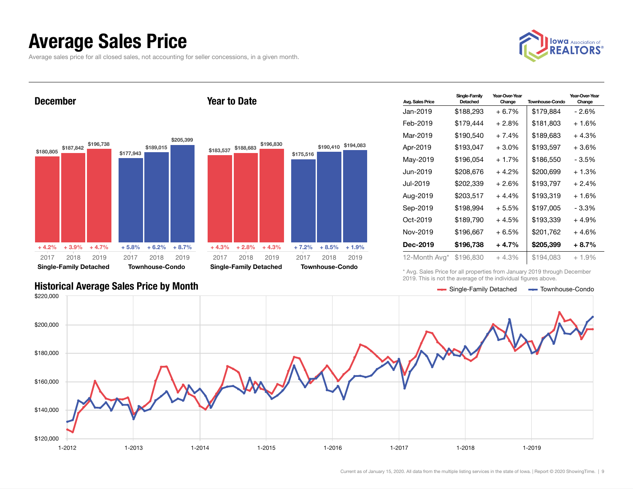### Average Sales Price

Average sales price for all closed sales, not accounting for seller concessions, in a given month.



December





Year to Date

| <b>Avg. Sales Price</b> | Single-Family<br>Detached | Year-Over-Year<br>Change | <b>Townhouse-Condo</b> | Year-Over-Year<br>Change |
|-------------------------|---------------------------|--------------------------|------------------------|--------------------------|
| Jan-2019                | \$188,293                 | $+6.7%$                  | \$179,884              | - 2.6%                   |
| Feb-2019                | \$179.444                 | $+2.8\%$                 | \$181,803              | + 1.6%                   |
| Mar-2019                | \$190,540                 | $+7.4%$                  | \$189,683              | $+4.3%$                  |
| Apr-2019                | \$193,047                 | $+3.0\%$                 | \$193,597              | +3.6%                    |
| May-2019                | \$196,054                 | + 1.7%                   | \$186,550              | - 3.5%                   |
| Jun-2019.               | \$208,676                 | $+4.2%$                  | \$200,699              | $+1.3%$                  |
| Jul-2019                | \$202,339                 | $+2.6%$                  | \$193,797              | $+2.4%$                  |
| Aug-2019                | \$203,517                 | $+4.4%$                  | \$193,319              | $+1.6%$                  |
| Sep-2019                | \$198,994                 | $+5.5%$                  | \$197,005              | - 3.3%                   |
| Oct-2019                | \$189,790                 | + 4.5%                   | \$193,339              | $+4.9%$                  |
| Nov-2019                | \$196,667                 | $+6.5%$                  | \$201,762              | + 4.6%                   |
| Dec-2019                | \$196,738                 | $+4.7%$                  | \$205,399              | $+8.7%$                  |
| 12-Month Avg*           | \$196,830                 | + 4.3%                   | \$194,083              | + 1.9%                   |

\* Avg. Sales Price for all properties from January 2019 through December 2019. This is not the average of the individual figures above.



### Historical Average Sales Price by Month Single-Family Detached Townhouse-Condo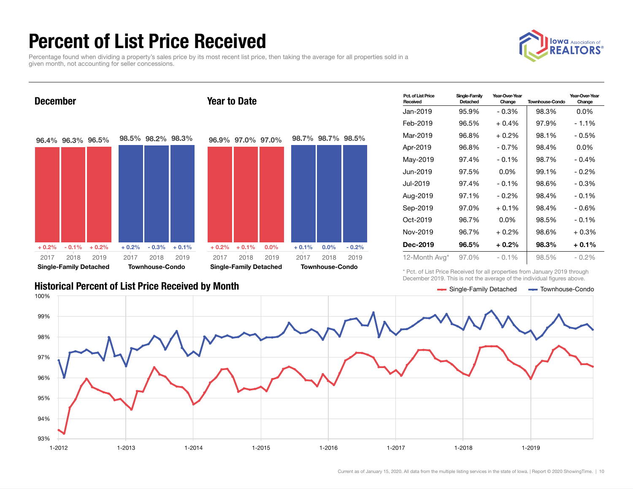## Percent of List Price Received

Percentage found when dividing a property's sales price by its most recent list price, then taking the average for all properties sold in a given month, not accounting for seller concessions.





| Pct. of List Price<br>Received | Single-Family<br>Detached | Year-Over-Year<br>Change | <b>Townhouse-Condo</b> | Year-Over-Year<br>Change |
|--------------------------------|---------------------------|--------------------------|------------------------|--------------------------|
| Jan-2019                       | 95.9%                     | $-0.3%$                  | 98.3%                  | $0.0\%$                  |
| Feb-2019                       | 96.5%                     | $+0.4%$                  | 97.9%                  | $-1.1\%$                 |
| Mar-2019                       | 96.8%                     | $+0.2%$                  | 98.1%                  | - 0.5%                   |
| Apr-2019                       | 96.8%                     | $-0.7\%$                 | 98.4%                  | $0.0\%$                  |
| May-2019                       | 97.4%                     | $-0.1\%$                 | 98.7%                  | $-0.4%$                  |
| Jun-2019                       | 97.5%                     | $0.0\%$                  | 99.1%                  | $-0.2%$                  |
| Jul-2019.                      | 97.4%                     | $-0.1\%$                 | 98.6%                  | - 0.3%                   |
| Aug-2019                       | 97.1%                     | $-0.2%$                  | 98.4%                  | $-0.1%$                  |
| Sep-2019                       | 97.0%                     | $+0.1%$                  | 98.4%                  | - 0.6%                   |
| Oct-2019                       | 96.7%                     | $0.0\%$                  | 98.5%                  | $-0.1%$                  |
| Nov-2019                       | 96.7%                     | $+0.2%$                  | 98.6%                  | $+0.3%$                  |
| Dec-2019                       | 96.5%                     | $+0.2\%$                 | 98.3%                  | $+0.1\%$                 |
| 12-Month Avg*                  | 97.0%                     | $-0.1\%$                 | 98.5%                  | $-0.2\%$                 |

\* Pct. of List Price Received for all properties from January 2019 through December 2019. This is not the average of the individual figures above.

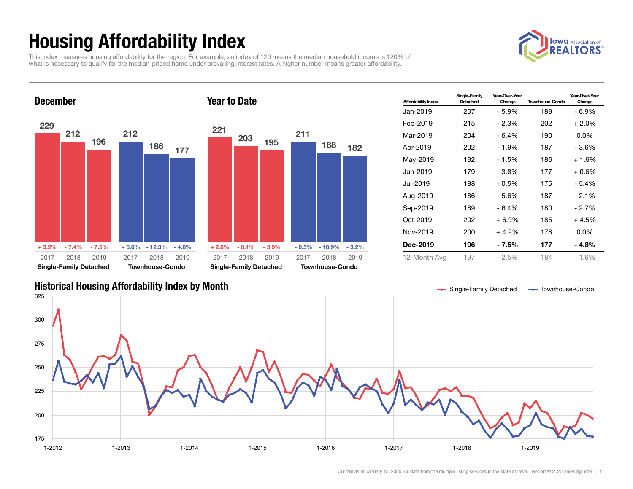## Housing Affordability Index

**OWCI** Association of

This index measures housing affordability for the region. For example, an index of 120 means the median household income is 120% of what is necessary to qualify for the median-priced home under prevailing interest rates. A higher number means greater affordability.



| <b>Affordability Index</b> | Single-Family<br>Detached | Year-Over-Year<br>Change | <b>Townhouse-Condo</b> | Year-Over-Year<br>Change |
|----------------------------|---------------------------|--------------------------|------------------------|--------------------------|
| Jan-2019                   | 207                       | $-5.9%$                  | 189                    | - 6.9%                   |
| Feb-2019                   | 215                       | - 2.3%                   | 202                    | $+2.0\%$                 |
| Mar-2019                   | 204                       | - 6.4%                   | 190                    | $0.0\%$                  |
| Apr-2019                   | 202                       | - 1.9%                   | 187                    | - 3.6%                   |
| May-2019                   | 192                       | - 1.5%                   | 186                    | $+1.6%$                  |
| Jun-2019                   | 179                       | - 3.8%                   | 177                    | + 0.6%                   |
| Jul-2019                   | 188                       | $-0.5\%$                 | 175                    | $-5.4%$                  |
| Aug-2019                   | 186                       | $-5.6%$                  | 187                    | $-2.1\%$                 |
| Sep-2019                   | 189                       | - 6.4%                   | 180                    | $-2.7\%$                 |
| $Oct-2019$                 | 202                       | $+6.9\%$                 | 185                    | + 4.5%                   |
| Nov-2019                   | 200                       | $+4.2\%$                 | 178                    | $0.0\%$                  |
| Dec-2019                   | 196                       | - 7.5%                   | 177                    | - 4.8%                   |
| 12-Month Avg               | 197                       | $-2.5%$                  | 184                    | $-1.6%$                  |

### Historical Housing Affordability Index by Month Single-Tamily Detached Townhouse-Condo

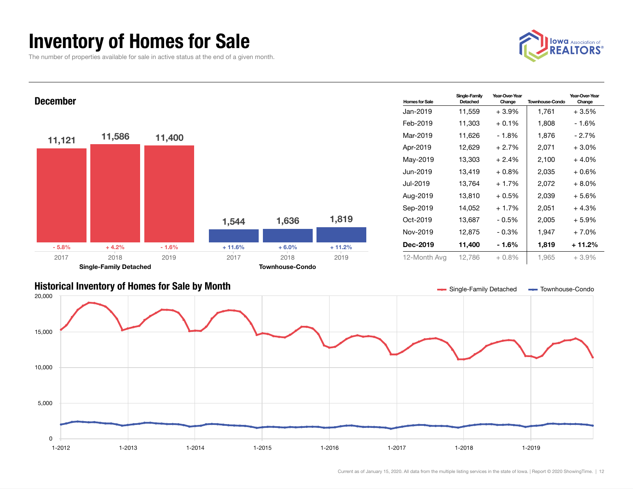### Inventory of Homes for Sale

The number of properties available for sale in active status at the end of a given month.



Change



### Historical Inventory of Homes for Sale by Month Single-Family Detached Townhouse-Condo

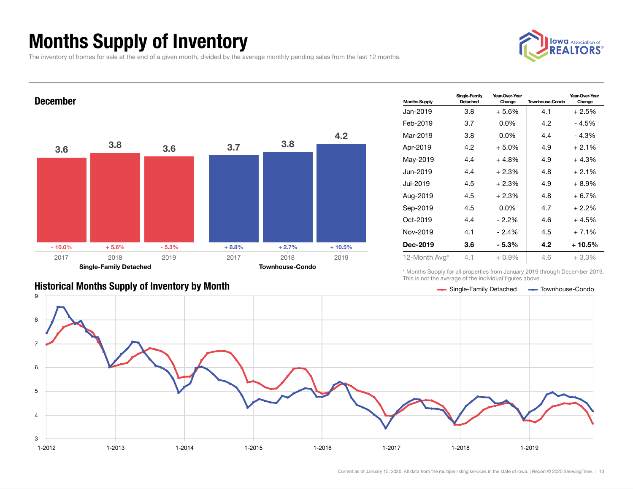## Months Supply of Inventory

The inventory of homes for sale at the end of a given month, divided by the average monthly pending sales from the last 12 months.



Year-Over-Year Change



### \* Months Supply for all properties from January 2019 through December 2019. This is not the average of the individual figures above.